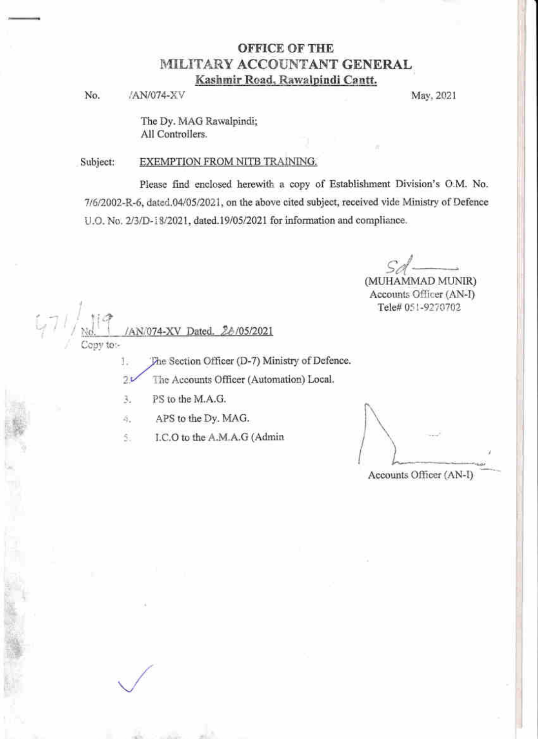# **OFFICE OF THE** MILITARY ACCOUNTANT GENERAL Kashmir Road, Rawalpindi Cantt.

/AN/074-XV No.

May, 2021

The Dy. MAG Rawalpindi; All Controllers.

#### Subject: EXEMPTION FROM NITB TRAINING.

Please find enclosed herewith a copy of Establishment Division's O.M. No. 7/6/2002-R-6, dated.04/05/2021, on the above cited subject, received vide Ministry of Defence U.O. No. 2/3/D-18/2021, dated.19/05/2021 for information and compliance.

(MUHAMMAD MUNIR)

Accounts Officer (AN-I) Tele# 051-9270702

 $47/\frac{1}{\frac{Nd}{copy}}$ 

The Section Officer (D-7) Ministry of Defence. Ĭ.  $20$ The Accounts Officer (Automation) Local.

3. PS to the M.A.G.

APS to the Dy. MAG. 4.

/AN/074-XV Dated. 26/05/2021

I.C.O to the A.M.A.G (Admin S.

Accounts Officer (AN-I)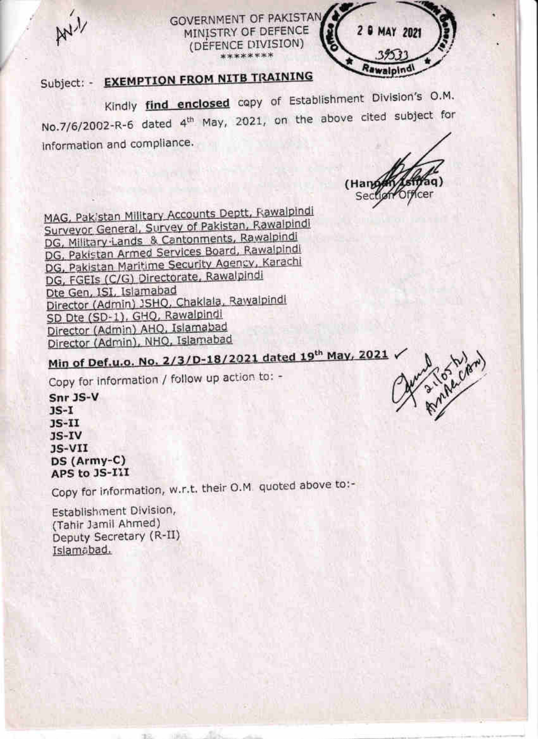$M<sub>1</sub>$ 





# Subject: - EXEMPTION FROM NITB TRAINING

Kindly find enclosed copy of Establishment Division's O.M. No.7/6/2002-R-6 dated 4<sup>th</sup> May, 2021, on the above cited subject for information and compliance.

(Hand

MAG, Pakistan Military Accounts Deptt, Rawalpindi Surveyor General, Survey of Pakistan, Rawalpindi DG, Military Lands & Cantonments, Rawalpindi DG, Pakistan Armed Services Board, Rawalpindi DG, Pakistan Maritime Security Agency, Karachi DG, FGEIs (C/G) Directorate, Rawalpindi Dte Gen, ISI, Islamabad Director (Admin) JSHQ, Chaklala, Rawalpindl SD Dte (SD-1), GHQ, Rawalpindi Director (Admin) AHQ, Islamabad Director (Admin), NHO, Islamabad

Min of Def.u.o. No. 2/3/D-18/2021 dated 19th May, 2021

Copy for information / follow up action to: -

Snr JS-V  $1S-I$  $JS-II$ JS-IV  $JS-VII$ DS (Army-C) APS to JS-III

Copy for information, w.r.t. their O.M. quoted above to:-

Establishment Division, (Tahir Jamil Ahmed) Deputy Secretary (R-II) Islamabad.

a value cre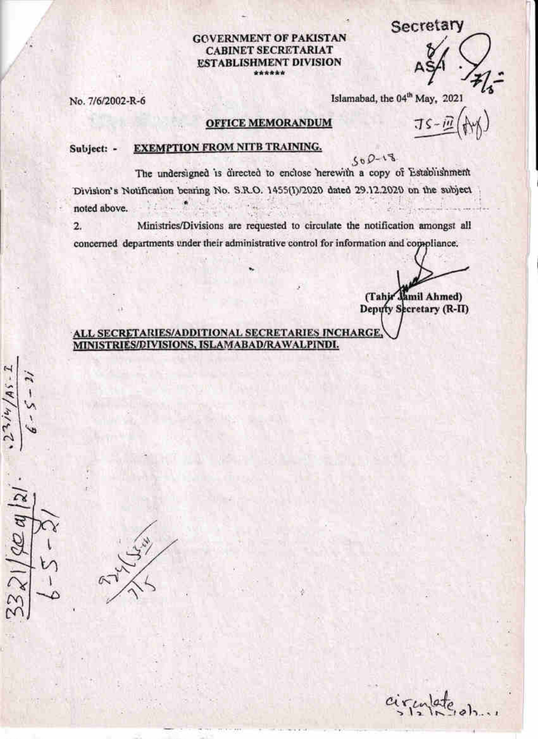# Secretary

## **GOVERNMENT OF PAKISTAN CABINET SECRETARIAT ESTABLISHMENT DIVISION** \*\*\*\*\*\*

No. 7/6/2002-R-6

Islamabad, the 04<sup>th</sup> May, 2021

# **OFFICE MEMORANDUM**

Jζ

#### **EXEMPTION FROM NITB TRAINING.** Subject: -

So  $0 - 1$ <sup>3</sup><br>The undersigned is directed to enclose herewith a copy of Establishment Division's Notification bearing No. S.R.O. 1455(I)/2020 dated 29.12.2020 on the subject noted above.

 $\overline{2}$ . Ministries/Divisions are requested to circulate the notification amongst all concerned departments under their administrative control for information and compliance.

(Tahir Jamil Ahmed)

Deputy Secretary (R-II)

# ALL SECRETARIES/ADDITIONAL SECRETARIES INCHARGE MINISTRIES/DIVISIONS, ISLAMABAD/RAWALPINDI.

A<sub>S</sub>

circulate  $o)$ ,,,